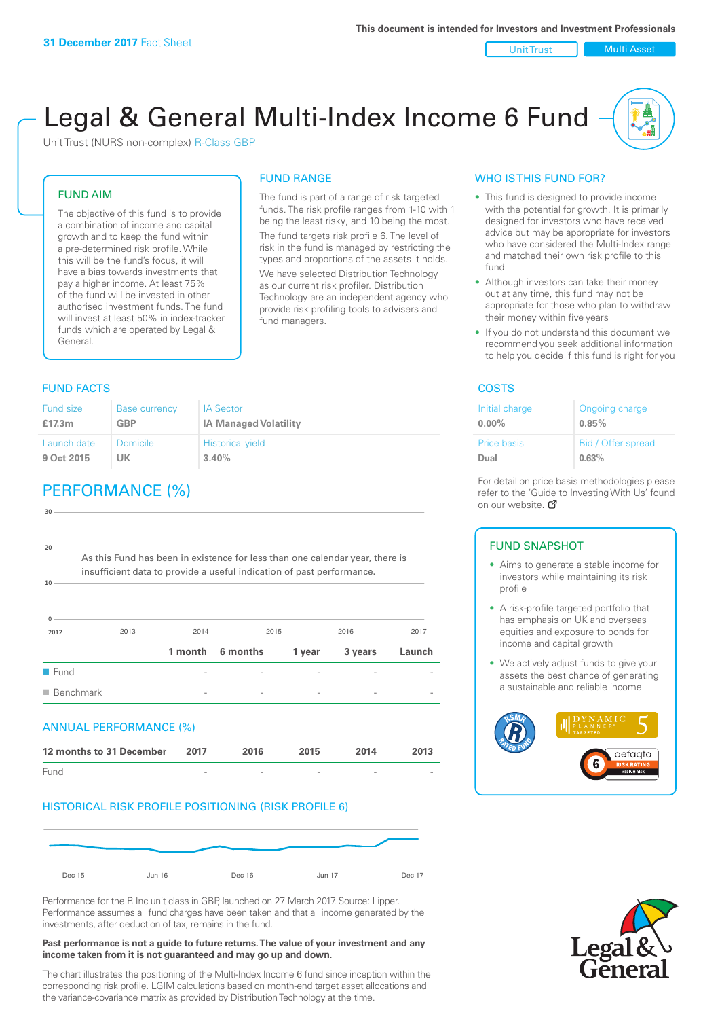Unit Trust | Multi Asset

# Legal & General Multi-Index Income 6 Fund

The fund is part of a range of risk targeted funds. The risk profile ranges from 1-10 with 1 being the least risky, and 10 being the most. The fund targets risk profile 6. The level of risk in the fund is managed by restricting the types and proportions of the assets it holds. We have selected Distribution Technology as our current risk profiler. Distribution Technology are an independent agency who provide risk profiling tools to advisers and

FUND RANGE

fund managers.

Unit Trust (NURS non-complex) R-Class GBP

#### FUND AIM

The objective of this fund is to provide a combination of income and capital growth and to keep the fund within a pre-determined risk profile. While this will be the fund's focus, it will have a bias towards investments that pay a higher income. At least 75% of the fund will be invested in other authorised investment funds. The fund will invest at least 50% in index-tracker funds which are operated by Legal & General.

### **FUND FACTS** COSTS

#### Fund size **£17.3m** Base currency **GBP** IA Sector **IA Managed Volatility** Launch date **9 Oct 2015** Domicile **UK** Historical yield **3.40%**

## PERFORMANCE (%)

| 30                                                                                                                                                                    |                          |         |          |        |         |        |
|-----------------------------------------------------------------------------------------------------------------------------------------------------------------------|--------------------------|---------|----------|--------|---------|--------|
|                                                                                                                                                                       |                          |         |          |        |         |        |
| 20<br>As this Fund has been in existence for less than one calendar year, there is<br>insufficient data to provide a useful indication of past performance.<br>$10 -$ |                          |         |          |        |         |        |
| $\Omega$<br>2012                                                                                                                                                      | 2013                     | 2014    |          | 2015   | 2016    | 2017   |
|                                                                                                                                                                       |                          | 1 month | 6 months | 1 year | 3 years | Launch |
| $\blacksquare$ Fund                                                                                                                                                   |                          |         |          |        |         |        |
| $\blacksquare$ Benchmark                                                                                                                                              |                          |         |          |        |         |        |
|                                                                                                                                                                       | ANNUAL PERFORMANCE (%)   |         |          |        |         |        |
|                                                                                                                                                                       | 12 months to 31 December | 2017    | 2016     | 2015   | 2014    | 2013   |
| Fund                                                                                                                                                                  |                          |         |          |        |         |        |

#### HISTORICAL RISK PROFILE POSITIONING (RISK PROFILE 6)



Performance for the R Inc unit class in GBP, launched on 27 March 2017. Source: Lipper. Performance assumes all fund charges have been taken and that all income generated by the investments, after deduction of tax, remains in the fund.

#### **Past performance is not a guide to future returns. The value of your investment and any income taken from it is not guaranteed and may go up and down.**

The chart illustrates the positioning of the Multi-Index Income 6 fund since inception within the corresponding risk profile. LGIM calculations based on month-end target asset allocations and the variance-covariance matrix as provided by Distribution Technology at the time.

#### WHO IS THIS FUND FOR?

- This fund is designed to provide income with the potential for growth. It is primarily designed for investors who have received advice but may be appropriate for investors who have considered the Multi-Index range and matched their own risk profile to this fund
- Although investors can take their money out at any time, this fund may not be appropriate for those who plan to withdraw their money within five years
- If you do not understand this document we recommend you seek additional information to help you decide if this fund is right for you

| Initial charge | Ongoing charge     |
|----------------|--------------------|
| $0.00\%$       | 0.85%              |
| Price basis    | Bid / Offer spread |
| Dual           | 0.63%              |

For detail on price basis methodologies please refer to the 'Gu[ide t](http://www.legalandgeneral.com/guide)o Investing With Us' found on our website. Ø

#### FUND SNAPSHOT

- Aims to generate a stable income for investors while maintaining its risk profile
- A risk-profile targeted portfolio that has emphasis on UK and overseas equities and exposure to bonds for income and capital growth
- We actively adjust funds to give your assets the best chance of generating a sustainable and reliable income



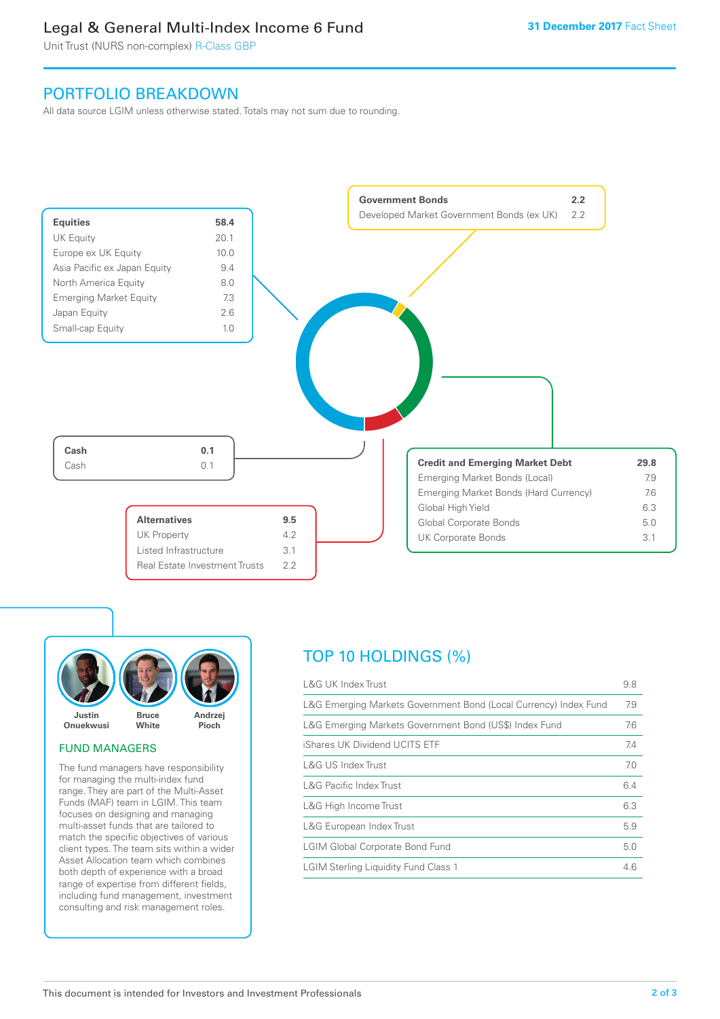### Legal & General Multi-Index Income 6 Fund

Unit Trust (NURS non-complex) R-Class GBP

### PORTFOLIO BREAKDOWN

All data source LGIM unless otherwise stated. Totals may not sum due to rounding.





#### FUND MANAGERS

The fund managers have responsibility for managing the multi-index fund range. They are part of the Multi-Asset Funds (MAF) team in LGIM. This team focuses on designing and managing multi-asset funds that are tailored to match the specific objectives of various client types. The team sits within a wider Asset Allocation team which combines both depth of experience with a broad range of expertise from different fields, including fund management, investment consulting and risk management roles.

## TOP 10 HOLDINGS (%)

| <b>L&amp;G UK Index Trust</b>                                    | 9.8 |
|------------------------------------------------------------------|-----|
| L&G Emerging Markets Government Bond (Local Currency) Index Fund | 7.9 |
| L&G Emerging Markets Government Bond (US\$) Index Fund           | 7.6 |
| iShares UK Dividend UCITS ETF                                    | 7.4 |
| L&G US Index Trust                                               | 7.0 |
| <b>L&amp;G Pacific Index Trust</b>                               | 6.4 |
| L&G High Income Trust                                            | 6.3 |
| L&G European Index Trust                                         | 5.9 |
| <b>LGIM Global Corporate Bond Fund</b>                           | 5.0 |
| <b>LGIM Sterling Liquidity Fund Class 1</b>                      | 4.6 |